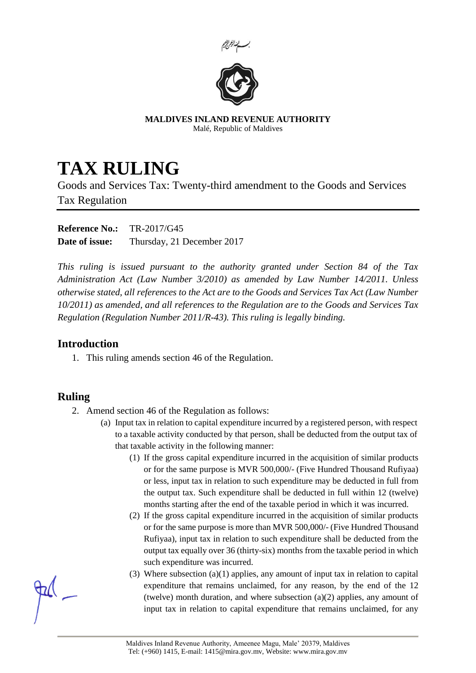



**MALDIVES INLAND REVENUE AUTHORITY** Malé, Republic of Maldives

## **TAX RULING**

Goods and Services Tax: Twenty-third amendment to the Goods and Services Tax Regulation

**Reference No.:** TR-2017/G45 **Date of issue:** Thursday, 21 December 2017

*This ruling is issued pursuant to the authority granted under Section 84 of the Tax Administration Act (Law Number 3/2010) as amended by Law Number 14/2011. Unless otherwise stated, all references to the Act are to the Goods and Services Tax Act (Law Number 10/2011) as amended, and all references to the Regulation are to the Goods and Services Tax Regulation (Regulation Number 2011/R-43). This ruling is legally binding.*

## **Introduction**

1. This ruling amends section 46 of the Regulation.

## **Ruling**

- 2. Amend section 46 of the Regulation as follows:
	- (a) Input tax in relation to capital expenditure incurred by a registered person, with respect to a taxable activity conducted by that person, shall be deducted from the output tax of that taxable activity in the following manner:
		- (1) If the gross capital expenditure incurred in the acquisition of similar products or for the same purpose is MVR 500,000/- (Five Hundred Thousand Rufiyaa) or less, input tax in relation to such expenditure may be deducted in full from the output tax. Such expenditure shall be deducted in full within 12 (twelve) months starting after the end of the taxable period in which it was incurred.
		- (2) If the gross capital expenditure incurred in the acquisition of similar products or for the same purpose is more than MVR 500,000/- (Five Hundred Thousand Rufiyaa), input tax in relation to such expenditure shall be deducted from the output tax equally over 36 (thirty-six) months from the taxable period in which such expenditure was incurred.
		- (3) Where subsection (a)(1) applies, any amount of input tax in relation to capital expenditure that remains unclaimed, for any reason, by the end of the 12 (twelve) month duration, and where subsection (a)(2) applies, any amount of input tax in relation to capital expenditure that remains unclaimed, for any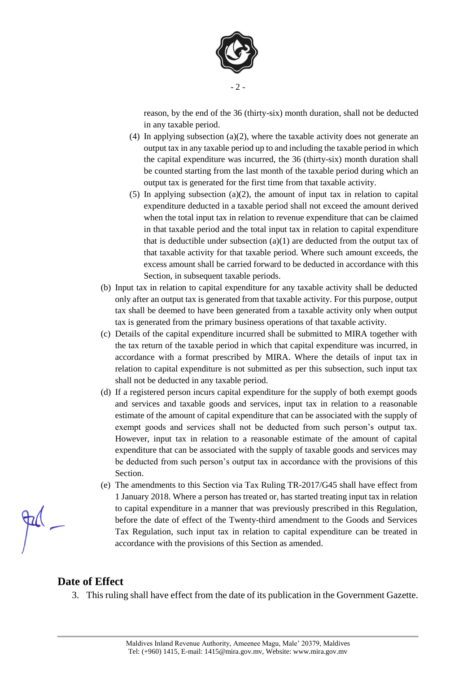

reason, by the end of the 36 (thirty-six) month duration, shall not be deducted in any taxable period.

- (4) In applying subsection (a)(2), where the taxable activity does not generate an output tax in any taxable period up to and including the taxable period in which the capital expenditure was incurred, the 36 (thirty-six) month duration shall be counted starting from the last month of the taxable period during which an output tax is generated for the first time from that taxable activity.
- (5) In applying subsection (a)(2), the amount of input tax in relation to capital expenditure deducted in a taxable period shall not exceed the amount derived when the total input tax in relation to revenue expenditure that can be claimed in that taxable period and the total input tax in relation to capital expenditure that is deductible under subsection (a)(1) are deducted from the output tax of that taxable activity for that taxable period. Where such amount exceeds, the excess amount shall be carried forward to be deducted in accordance with this Section, in subsequent taxable periods.
- (b) Input tax in relation to capital expenditure for any taxable activity shall be deducted only after an output tax is generated from that taxable activity. For this purpose, output tax shall be deemed to have been generated from a taxable activity only when output tax is generated from the primary business operations of that taxable activity.
- (c) Details of the capital expenditure incurred shall be submitted to MIRA together with the tax return of the taxable period in which that capital expenditure was incurred, in accordance with a format prescribed by MIRA. Where the details of input tax in relation to capital expenditure is not submitted as per this subsection, such input tax shall not be deducted in any taxable period.
- (d) If a registered person incurs capital expenditure for the supply of both exempt goods and services and taxable goods and services, input tax in relation to a reasonable estimate of the amount of capital expenditure that can be associated with the supply of exempt goods and services shall not be deducted from such person's output tax. However, input tax in relation to a reasonable estimate of the amount of capital expenditure that can be associated with the supply of taxable goods and services may be deducted from such person's output tax in accordance with the provisions of this Section.
- (e) The amendments to this Section via Tax Ruling TR-2017/G45 shall have effect from 1 January 2018. Where a person has treated or, has started treating input tax in relation to capital expenditure in a manner that was previously prescribed in this Regulation, before the date of effect of the Twenty-third amendment to the Goods and Services Tax Regulation, such input tax in relation to capital expenditure can be treated in accordance with the provisions of this Section as amended.

## **Date of Effect**

3. This ruling shall have effect from the date of its publication in the Government Gazette.